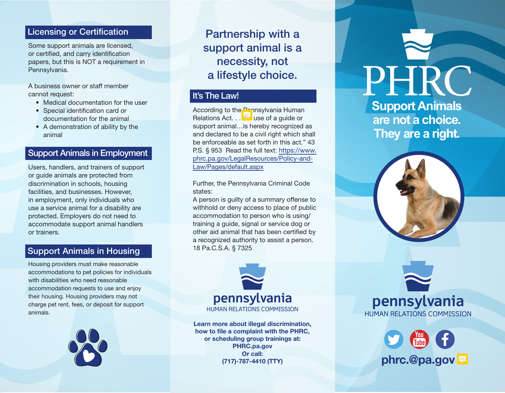#### Licensing or Certification

Some support animals are licensed, or certified, and carry identification papers, but this is NOT a requirement in Pennsylvania.

A business owner or staff member cannot request:

- Medical documentation for the user
- Special identification card or documentation for the animal
- A demonstration of ability by the animal

# Support Animals in Employment

Users, handlers, and trainers of support or guide animals are protected from discrimination in schools, housing facilities, and businesses. However, in employment, only individuals who use a service animal for a disability are protected. Employers do not need to accommodate support animal handlers or trainers.

# Support Animals in Housing

Housing providers must make reasonable accommodations to pet policies for individuals with disabilities who need reasonable accommodation requests to use and enjoy their housing. Housing providers may not charge pet rent, fees, or deposit for support animals.



Partnership with a support animal is a necessity, not a lifestyle choice.

### It's The Law!

According to the Pennsylvania Human Relations Act.  $\sqrt{h}$  use of a guide or support animal…is hereby recognized as and declared to be a civil right which shall be enforceable as set forth in this act." 43 P.S. § 953 Read the full text: https://www. phrc.pa.gov/LegalResources/Policy-and-Law/Pages/default.aspx

Further, the Pennsylvania Criminal Code states:

A person is guilty of a summary offense to withhold or deny access to place of public accommodation to person who is using/ training a guide, signal or service dog or other aid animal that has been certified by a recognized authority to assist a person. 18 Pa.C.S.A. § 7325



**Learn more about illegal discrimination, how to file a complaint with the PHRC, or scheduling group trainings at: PHRC.pa.gov Or call:**

**Support Animals are not a choice. They are a right.** PHR